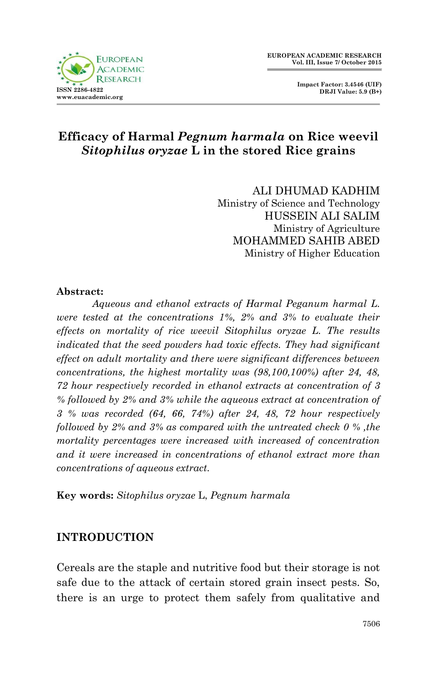



# **Efficacy of Harmal** *Pegnum harmala* **on Rice weevil** *Sitophilus oryzae* **L in the stored Rice grains**

 ALI DHUMAD KADHIM Ministry of Science and Technology HUSSEIN ALI SALIM Ministry of Agriculture MOHAMMED SAHIB ABED Ministry of Higher Education

#### **Abstract:**

*Aqueous and ethanol extracts of Harmal Peganum harmal L. were tested at the concentrations 1%, 2% and 3% to evaluate their effects on mortality of rice weevil Sitophilus oryzae L. The results indicated that the seed powders had toxic effects. They had significant effect on adult mortality and there were significant differences between concentrations, the highest mortality was (98,100,100%) after 24, 48, 72 hour respectively recorded in ethanol extracts at concentration of 3 % followed by 2% and 3% while the aqueous extract at concentration of 3 % was recorded (64, 66, 74%) after 24, 48, 72 hour respectively followed by 2% and 3% as compared with the untreated check 0 % ,the mortality percentages were increased with increased of concentration and it were increased in concentrations of ethanol extract more than concentrations of aqueous extract.*

**Key words:** *Sitophilus oryzae* L, *Pegnum harmala*

#### **INTRODUCTION**

Cereals are the staple and nutritive food but their storage is not safe due to the attack of certain stored grain insect pests. So, there is an urge to protect them safely from qualitative and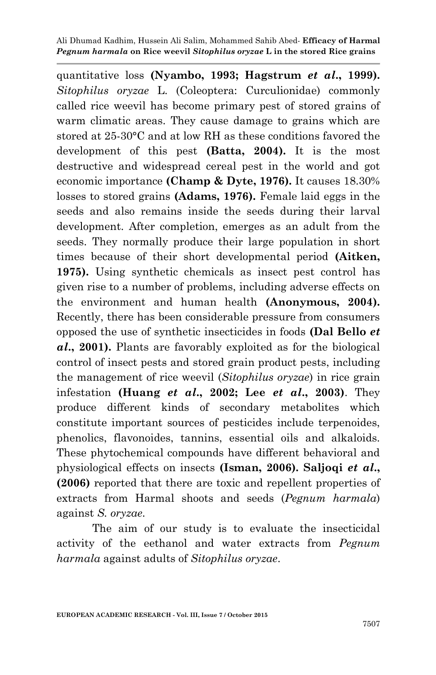quantitative loss **(Nyambo, 1993; Hagstrum** *et al***., 1999).**  *Sitophilus oryzae* L. (Coleoptera: Curculionidae) commonly called rice weevil has become primary pest of stored grains of warm climatic areas. They cause damage to grains which are stored at 25-30°C and at low RH as these conditions favored the development of this pest **(Batta, 2004).** It is the most destructive and widespread cereal pest in the world and got economic importance **(Champ & Dyte, 1976).** It causes 18.30% losses to stored grains **(Adams, 1976).** Female laid eggs in the seeds and also remains inside the seeds during their larval development. After completion, emerges as an adult from the seeds. They normally produce their large population in short times because of their short developmental period **(Aitken, 1975).** Using synthetic chemicals as insect pest control has given rise to a number of problems, including adverse effects on the environment and human health **(Anonymous, 2004).** Recently, there has been considerable pressure from consumers opposed the use of synthetic insecticides in foods **(Dal Bello** *et al***., 2001).** Plants are favorably exploited as for the biological control of insect pests and stored grain product pests, including the management of rice weevil (*Sitophilus oryzae*) in rice grain infestation **(Huang** *et al***., 2002; Lee** *et al***., 2003)**. They produce different kinds of secondary metabolites which constitute important sources of pesticides include terpenoides, phenolics, flavonoides, tannins, essential oils and alkaloids. These phytochemical compounds have different behavioral and physiological effects on insects **(Isman, 2006). Saljoqi** *et al***., (2006)** reported that there are toxic and repellent properties of extracts from Harmal shoots and seeds (*Pegnum harmala*) against *S. oryzae*.

The aim of our study is to evaluate the insecticidal activity of the eethanol and water extracts from *Pegnum harmala* against adults of *Sitophilus oryzae*.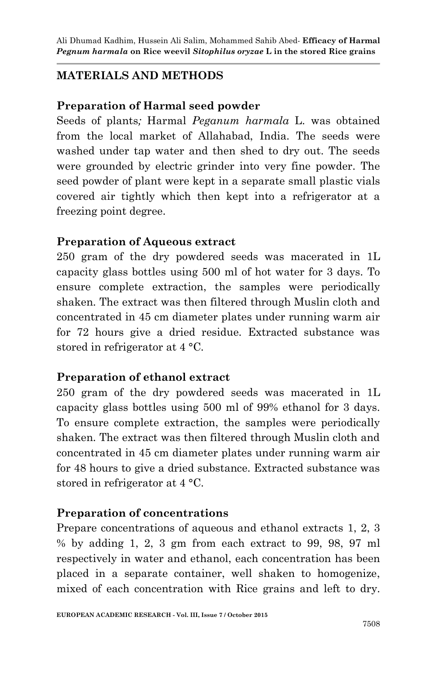## **MATERIALS AND METHODS**

### **Preparation of Harmal seed powder**

Seeds of plants*;* Harmal *Peganum harmala* L. was obtained from the local market of Allahabad, India. The seeds were washed under tap water and then shed to dry out. The seeds were grounded by electric grinder into very fine powder. The seed powder of plant were kept in a separate small plastic vials covered air tightly which then kept into a refrigerator at a freezing point degree.

#### **Preparation of Aqueous extract**

250 gram of the dry powdered seeds was macerated in 1L capacity glass bottles using 500 ml of hot water for 3 days. To ensure complete extraction, the samples were periodically shaken. The extract was then filtered through Muslin cloth and concentrated in 45 cm diameter plates under running warm air for 72 hours give a dried residue. Extracted substance was stored in refrigerator at 4 °C.

### **Preparation of ethanol extract**

250 gram of the dry powdered seeds was macerated in 1L capacity glass bottles using 500 ml of 99% ethanol for 3 days. To ensure complete extraction, the samples were periodically shaken. The extract was then filtered through Muslin cloth and concentrated in 45 cm diameter plates under running warm air for 48 hours to give a dried substance. Extracted substance was stored in refrigerator at 4 °C.

### **Preparation of concentrations**

Prepare concentrations of aqueous and ethanol extracts 1, 2, 3 % by adding 1, 2, 3 gm from each extract to 99, 98, 97 ml respectively in water and ethanol, each concentration has been placed in a separate container, well shaken to homogenize, mixed of each concentration with Rice grains and left to dry.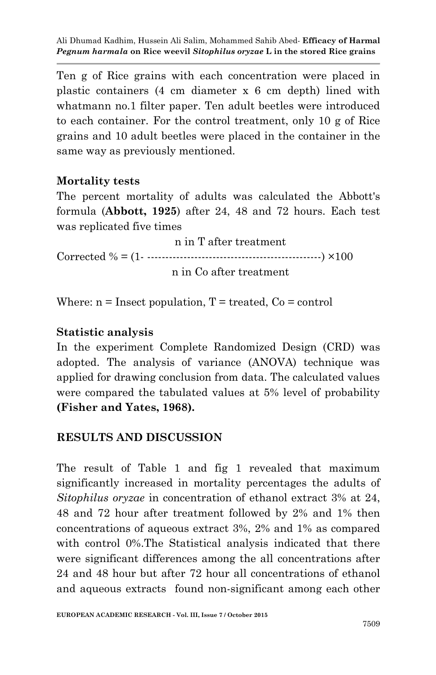Ten g of Rice grains with each concentration were placed in plastic containers (4 cm diameter x 6 cm depth) lined with whatmann no.1 filter paper. Ten adult beetles were introduced to each container. For the control treatment, only 10 g of Rice grains and 10 adult beetles were placed in the container in the same way as previously mentioned.

#### **Mortality tests**

The percent mortality of adults was calculated the Abbott's formula (**Abbott, 1925**) after 24, 48 and 72 hours. Each test was replicated five times

 n in T after treatment Corrected  $\% = (1 - \dots - \dots - \dots - \dots - \dots - \dots - \dots - \dots - \dots - \times 100$ n in Co after treatment

Where:  $n =$ Insect population,  $T =$ treated,  $Co =$ control

#### **Statistic analysis**

In the experiment Complete Randomized Design (CRD) was adopted. The analysis of variance (ANOVA) technique was applied for drawing conclusion from data. The calculated values were compared the tabulated values at 5% level of probability **(Fisher and Yates, 1968).**

### **RESULTS AND DISCUSSION**

The result of Table 1 and fig 1 revealed that maximum significantly increased in mortality percentages the adults of *Sitophilus oryzae* in concentration of ethanol extract 3% at 24, 48 and 72 hour after treatment followed by 2% and 1% then concentrations of aqueous extract 3%, 2% and 1% as compared with control 0%. The Statistical analysis indicated that there were significant differences among the all concentrations after 24 and 48 hour but after 72 hour all concentrations of ethanol and aqueous extracts found non-significant among each other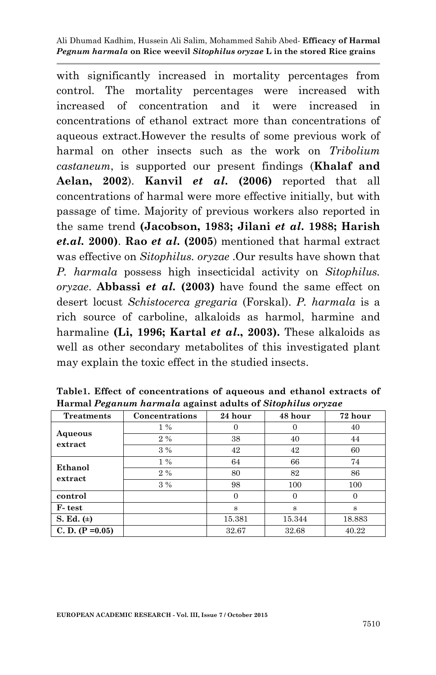with significantly increased in mortality percentages from control. The mortality percentages were increased with increased of concentration and it were increased in concentrations of ethanol extract more than concentrations of aqueous extract.However the results of some previous work of harmal on other insects such as the work on *Tribolium castaneum*, is supported our present findings (**Khalaf and Aelan, 2002**). **Kanvil** *et al***. (2006)** reported that all concentrations of harmal were more effective initially, but with passage of time. Majority of previous workers also reported in the same trend **(Jacobson, 1983; Jilani** *et al***. 1988; Harish**  *et.al.* **2000)**. **Rao** *et al***. (2005**) mentioned that harmal extract was effective on *Sitophilus. oryzae* .Our results have shown that *P. harmala* possess high insecticidal activity on *Sitophilus. oryzae*. **Abbassi** *et al.* **(2003)** have found the same effect on desert locust *Schistocerca gregaria* (Forskal). *P. harmala* is a rich source of carboline, alkaloids as harmol, harmine and harmaline **(Li, 1996; Kartal** *et al***., 2003).** These alkaloids as well as other secondary metabolites of this investigated plant may explain the toxic effect in the studied insects.

| <b>Treatments</b>  | Concentrations | 24 hour | 48 hour  | 72 hour |
|--------------------|----------------|---------|----------|---------|
| Aqueous<br>extract | $1\%$          |         | $\theta$ | 40      |
|                    | $2\%$          | 38      | 40       | 44      |
|                    | $3\%$          | 42      | 42       | 60      |
| Ethanol<br>extract | $1\%$          | 64      | 66       | 74      |
|                    | $2\%$          | 80      | 82       | 86      |
|                    | 3%             | 98      | 100      | 100     |
| control            |                |         | $\Omega$ |         |
| F-test             |                | S       | s        | s       |
| S. Ed. $(\pm)$     |                | 15.381  | 15.344   | 18.883  |
| C. D. $(P = 0.05)$ |                | 32.67   | 32.68    | 40.22   |

**Table1. Effect of concentrations of aqueous and ethanol extracts of Harmal** *Peganum harmala* **against adults of** *Sitophilus oryzae*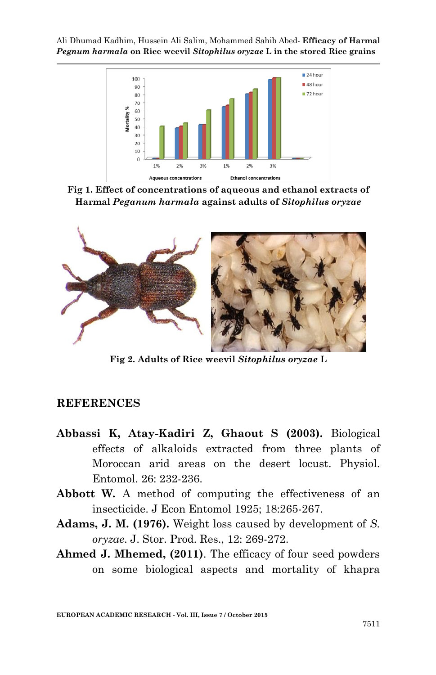

**Fig 1. Effect of concentrations of aqueous and ethanol extracts of Harmal** *Peganum harmala* **against adults of** *Sitophilus oryzae*



**Fig 2. Adults of Rice weevil** *Sitophilus oryzae* **L**

#### **REFERENCES**

- **Abbassi K, Atay-Kadiri Z, Ghaout S (2003).** Biological effects of alkaloids extracted from three plants of Moroccan arid areas on the desert locust. Physiol. Entomol. 26: 232-236.
- **Abbott W.** A method of computing the effectiveness of an insecticide. J Econ Entomol 1925; 18:265-267.
- **Adams, J. M. (1976).** Weight loss caused by development of *S. oryzae*. J. Stor. Prod. Res., 12: 269-272.
- **Ahmed J. Mhemed, (2011)**. The efficacy of four seed powders on some biological aspects and mortality of khapra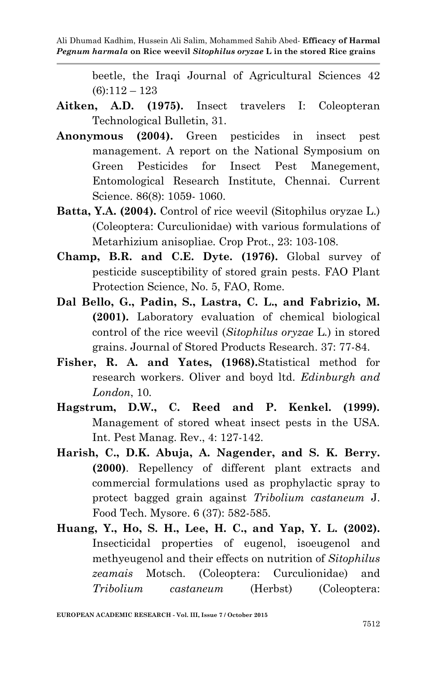> beetle, the Iraqi Journal of Agricultural Sciences 42 (6):112 – 123

- **Aitken, A.D. (1975).** Insect travelers I: Coleopteran Technological Bulletin, 31.
- **Anonymous (2004).** Green pesticides in insect pest management. A report on the National Symposium on Green Pesticides for Insect Pest Manegement, Entomological Research Institute, Chennai. Current Science. 86(8): 1059- 1060.
- **Batta, Y.A. (2004).** Control of rice weevil (Sitophilus oryzae L.) (Coleoptera: Curculionidae) with various formulations of Metarhizium anisopliae. Crop Prot., 23: 103-108.
- **Champ, B.R. and C.E. Dyte. (1976).** Global survey of pesticide susceptibility of stored grain pests. FAO Plant Protection Science, No. 5, FAO, Rome.
- **Dal Bello, G., Padin, S., Lastra, C. L., and Fabrizio, M. (2001).** Laboratory evaluation of chemical biological control of the rice weevil (*Sitophilus oryzae* L*.*) in stored grains. Journal of Stored Products Research. 37: 77-84.
- **Fisher, R. A. and Yates, (1968).**Statistical method for research workers. Oliver and boyd ltd. *Edinburgh and London*, 10.
- **Hagstrum, D.W., C. Reed and P. Kenkel. (1999).** Management of stored wheat insect pests in the USA. Int. Pest Manag. Rev., 4: 127-142.
- **Harish, C., D.K. Abuja, A. Nagender, and S. K. Berry. (2000)**. Repellency of different plant extracts and commercial formulations used as prophylactic spray to protect bagged grain against *Tribolium castaneum* J. Food Tech. Mysore. 6 (37): 582-585.
- **Huang, Y., Ho, S. H., Lee, H. C., and Yap, Y. L. (2002).** Insecticidal properties of eugenol, isoeugenol and methyeugenol and their effects on nutrition of *Sitophilus zeamais* Motsch. (Coleoptera: Curculionidae) and *Tribolium castaneum* (Herbst) (Coleoptera: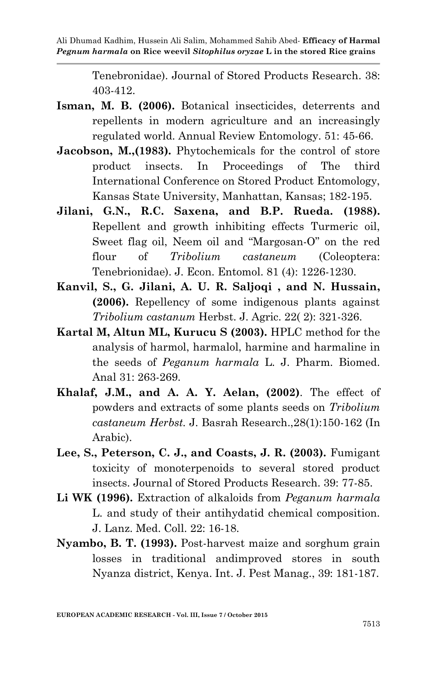> Tenebronidae). Journal of Stored Products Research. 38: 403-412.

- **Isman, M. B. (2006).** Botanical insecticides, deterrents and repellents in modern agriculture and an increasingly regulated world. Annual Review Entomology. 51: 45-66.
- **Jacobson, M., (1983).** Phytochemicals for the control of store product insects. In Proceedings of The third International Conference on Stored Product Entomology, Kansas State University, Manhattan, Kansas; 182-195.
- **Jilani, G.N., R.C. Saxena, and B.P. Rueda. (1988).** Repellent and growth inhibiting effects Turmeric oil, Sweet flag oil, Neem oil and "Margosan-O" on the red flour of *Tribolium castaneum* (Coleoptera: Tenebrionidae). J. Econ. Entomol. 81 (4): 1226-1230.
- **Kanvil, S., G. Jilani, A. U. R. Saljoqi , and N. Hussain, (2006).** Repellency of some indigenous plants against *Tribolium castanum* Herbst. J. Agric. 22( 2): 321-326.
- **Kartal M, Altun ML, Kurucu S (2003).** HPLC method for the analysis of harmol, harmalol, harmine and harmaline in the seeds of *Peganum harmala* L. J. Pharm. Biomed. Anal 31: 263-269.
- **Khalaf, J.M., and A. A. Y. Aelan, (2002)**. The effect of powders and extracts of some plants seeds on *Tribolium castaneum Herbst.* J. Basrah Research.,28(1):150-162 (In Arabic).
- **Lee, S., Peterson, C. J., and Coasts, J. R. (2003).** Fumigant toxicity of monoterpenoids to several stored product insects. Journal of Stored Products Research. 39: 77-85.
- **Li WK (1996).** Extraction of alkaloids from *Peganum harmala*  L. and study of their antihydatid chemical composition. J. Lanz. Med. Coll. 22: 16-18.
- **Nyambo, B. T. (1993).** Post-harvest maize and sorghum grain losses in traditional andimproved stores in south Nyanza district, Kenya. Int. J. Pest Manag., 39: 181-187.